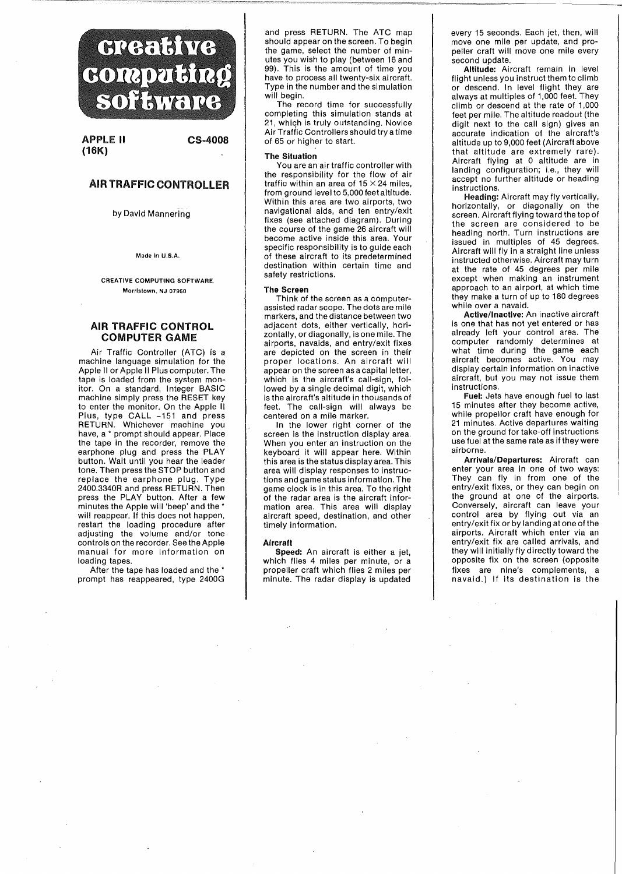# **Greative** couputing SOFFITTEIRE

APPLE II CS-4008 (16K)

# AIR TRAFFIC CONTROLLER

by David Mannering

Made In U.S.A.

CREATIVE COMPUTING SOFTWARE. Morristown, NJ 07960

## AIR TRAFFIC CONTROL COMPUTER GAME

Air Traffic Controller (ATC) is a machine language simulation for the Apple II or Apple II Plus computer. The tape is loaded from the system monitor. On a standard, Integer BASIC machine simply press the RESET key to enter the monitor. On the Apple II Plus, type CALL -151 and press RETURN. Whichever machine you have, a \* prompt should appear. Place the tape in the recorder, remove the earphone plug and press the PLAY button. Wait until you hear the leader tone. Then press the STOP button and replace the earphone plug. Type 2400.3340R and press RETURN. Then press the PLAY button. After a few minutes the Apple will 'beep' and the \* will reappear. If this does not happen, restart the loading procedure after adjusting the volume and/or tone controls on the recorder. See the Apple manual for more information on loading tapes.

After the tape has loaded and the \* prompt has reappeared, type 2400G and press RETURN. The ATC map should appear on the screen. To begin the game, select the number of minutes you wish to play (between 16 and 99). This is the amount of time you have to process all twenty-six aircraft. Type in the number and the simulation will begin.

The record time for successfully completing this simulation stands at 21, which is truly outstanding. Novice Air Traffic Controllers should try a time of 65 or higher to start.

### The Situation

You are an air traffic controller with the responsibility for the flow of air traffic within an area of  $15 \times 24$  miles, from ground level to 5,000 feet altitude. Within this area are two airports, two navigational aids, and ten entry/exit fixes (see attached diagram). During the course of the game 26 aircraft will become active inside this area. Your specific responsibility is to guide each of these aircraft to its predetermined destination within certain time and safety restrictions.

### The Screen

Think of the screen as a computerassisted radar scope. The dots are mile markers, and the distance between two adjacent dots, either vertically, horizontally, or diagonally, is one mile. The airports, navaids, and entry/exit fixes are depicted on the screen in their proper locations. An aircraft will appear on the screen as a capital letter, which is the aircraft's call-sign, followed by a single decimal digit, which is the aircraft's altitude in thousands of feet. The call-sign will always be centered on a mile marker.

In the lower right corner of the screen is the instruction display area. When you enter an instruction on the keyboard it will appear here. Within this area is the status display area. This area will display responses to instructions and game status information. The game clock is in this area. To the right of the radar area is the aircraft information area. This area will display aircraft speed, destination, and other timely information.

### Aircraft

Speed: An aircraft is either a jet, which flies 4 miles per minute, or a propeller craft which flies 2 miles per minute. The radar display is updated every 15 seconds. Each jet, then, will move one mile per update, and propeller craft will move one mile every second update.

Altitude: Aircraft remain in level flight unless you instruct them to climb or descend. In level flight they are always at multiples of 1,000 feet. They climb or descend at the rate of 1,000 feet per mile. The altitude readout (the digit next to the call sign) gives an accurate indication of the aircraft's altitude up to 9,000 feet (Aircraft above that altitude are extremely rare). Aircraft flying at 0 altitude are in landing configuration; i.e., they will accept no further altitude or heading instructions.

Heading: Aircraft may fly vertically, horizontally, or diagonally on the screen. Aircraft flying toward the top of the screen are considered to be heading north. Turn instructions are issued in multiples of 45 degrees. Aircraft will fly in a straight line unless instructed otherwise. Aircraft may turn at the rate of 45 degrees per mile except when making an instrument approach to an airport, at which time they make a turn of up to 180 degrees while over a navaid.

Active/Inactive: An inactive aircraft is one that has not yet entered or has already left your control area. The computer randomly determines at what time during the game each aircraft becomes active. You may display certain information on inactive aircraft, but you may not issue them instructions.

Fuel: Jets have enough fuel to last 15 minutes after they become active, while propellor craft have enough for 21 minutes. Active departures waiting on the ground for take-off instructions use fuel at the same rate as if they were airborne.

Arrivals/Departures: Aircraft can enter your area in one of two ways: They can fly in from one of the entry/exit fixes, or they can begin on the ground at one of the airports. Conversely, aircraft can leave your control area by flying out via an entry/exit fix or by landing at one of the airports. Aircraft which enter via an entry/exit fix are called arrivals, and they will initially fly directiy toward the opposite fix on the screen (opposite fixes are nine's complements, a navaid.) If its destination is the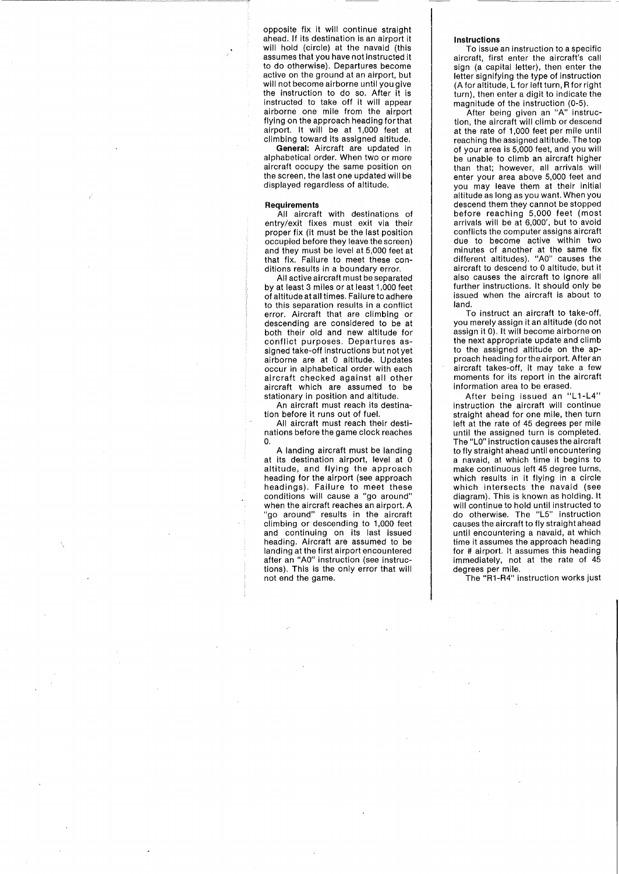opposite fix it will continue straight ahead. If its destination is an airport it will hold (circle) at the navaid (this assumes that you have not instructed it to do otherwise). Departures become active on the ground at an airport, but will not become airborne until you give the instruction to do so. After it is instructed to take off it will appear airborne one mile from the airport flying on the approach heading for that airport. It will be at 1,000 feet at climbing toward its assigned altitude.

**General:** Aircraft are updated in alphabetical order. When two or more aircraft occupy the same position on the screen, the last one updated will be displayed regardless of altitude.

### **Requirements**

All aircraft with destinations of entry/exit fixes must exit via their proper fix (it must be the last position occupied before they leave the screen) and they must be level at 5,000 feet at that fix. Failure to meet these conditions results in a boundary error.

All active aircraft must be separated by at least 3 miles or at least 1,000 feet of altitude at all times. Failure to adhere to this separation results in a conflict error. Aircraft that are climbing or descending are considered to be at both their old and new altitude for conflict purposes. Departures assigned take-off instructions but not yet airborne are at 0 altitude. Updates occur in alphabetical order with each aircraft checked against all other aircraft which are assumed to be stationary in position and altitude.

An aircraft must reach its destination before it runs out of fuel.

All aircraft must reach their destinations before the game clock reaches O.

A landing aircraft must be landing at its destination airport, level at 0 altitude, and flying the approach heading for the airport (see approach headings). Failure to meet these conditions will cause a "go around" when the aircraft reaches an airport. A "go around" results in the aircraft climbing or descending to 1,000 feet and continuing on its last issued heading. Aircraft are assumed to be landing at the first airport encountered after an "AO" instruction (see instructions). This is the only error that will not end the game.

### **Instructions**

To issue an instruction to a specific aircraft, first enter the aircraft's call sign (a capital letter), then enter the letter signifying the type of instruction (A for altitude, L for left turn, R for right turn), then enter a digit to indicate the magnitude of the instruction (0-5).

After being given an "A" instruction, the aircraft will climb or descend at the rate of 1,000 feet per mile until reaching the assigned altitude. The top of your area is 5,000 feet, and you will be unable to climb an aircraft higher than that; however, all arrivals will enter your area above 5,000 feet and you may leave them at their initial altitude as long as you want. When you descend them they cannot be stopped before reaching 5,000 feet (most arrivals will be at 6,000', but to avoid conflicts the computer assigns aircraft due to become active within two minutes of another at the same fix different altitUdes). "AO" causes the aircraft to descend to 0 altitude, but it also causes the aircraft to ignore all further instructions. It should only be issued when the aircraft is about to land.

To instruct an aircraft to take-off, you merely assign it an altitude (do not assign it 0). It will become airborne on the next appropriate update and climb to the assigned altitude on the approach heading for the airport. After an aircraft takes-off, it may take a few moments for its report in the aircraft information area to be erased.

After being issued an "L1-L4" instruction the aircraft will continue straight ahead for one mile, then turn left at the rate of 45 degrees per mile until the assigned turn is completed. The "LO" instruction causes the aircraft to fly straight ahead until encountering a navaid, at which time it begins to make continuous left 45 degree turns, which results in it flying in a circle which intersects the navaid (see diagram). This is known as holding. It will continue to hold until instructed to do otherwise. The "L5" instruction causes the aircraft to fly straight ahead until encountering a navaid, at which time it assumes the approach heading for # airport. It assumes this heading immediately, not at the rate of 45 degrees per mile.

The "R1-R4" instruction works just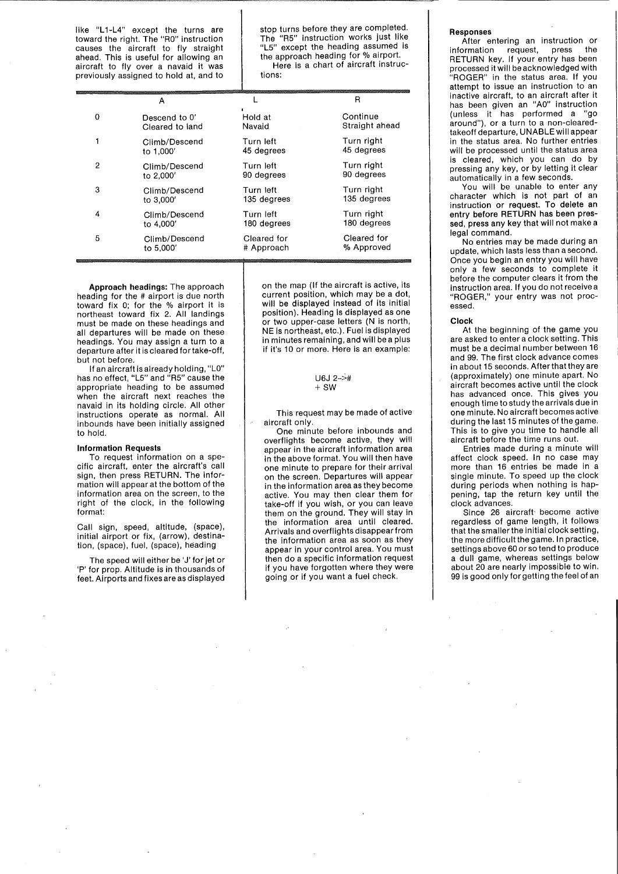like "L1-L4" except the turns are toward the right. The "RO" instruction causes the aircraft to fly straight ahead. This is useful for allowing an aircraft to fly over a navaid it was previously assigned to hold at, and to

stop turns before they are completed. The "R5" instruction works just like "L5" except the heading assumed is the approach heading for % airport. Here is a chart of aircraft instructions:

|   | А               |             | R              |
|---|-----------------|-------------|----------------|
| 0 | Descend to 0'   | Hold at     | Continue       |
|   | Cleared to land | Navaid      | Straight ahead |
| 1 | Climb/Descend   | Turn left   | Turn right     |
|   | to 1,000'       | 45 degrees  | 45 degrees     |
| 2 | Climb/Descend   | Turn left   | Turn right     |
|   | to 2,000'       | 90 degrees  | 90 degrees     |
| 3 | Climb/Descend   | Turn left   | Turn right     |
|   | to 3,000'       | 135 degrees | 135 degrees    |
| 4 | Climb/Descend   | Turn left   | Turn right     |
|   | to 4,000'       | 180 degrees | 180 degrees    |
| 5 | Climb/Descend   | Cleared for | Cleared for    |
|   | to 5,000'       | # Approach  | % Approved     |

**Approach headings:** The approach heading for the # airport is due north toward fix 0; for the % airport it is northeast toward fix 2. All landings must be made on these headings and all departures will be made on these headings. You may assign a turn to a departure after it is cleared for take-off, but not before.

If an aircraft is already holding, "LO" has no effect, "L5" and "R5" cause the appropriate heading to be assumed when the aircraft next reaches the navaid in its holding circle. All other instructions operate as normal. All inbounds have been initially assigned to hold.

### **Information Requests**

To request information on a specific aircraft, enter the aircraft's call sign, then press RETURN. The information will appear at the bottom of the information area on the screen, to the right of the clock, in the following format:

Call sign, speed, altitude, (space), initial airport or fix, (arrow), destination, (space), fuel, (space), heading

The speed will either be 'J' for jet or 'P' for prop. Altitude is in thousands of feet. Airports and fixes are as displayed

on the map (If the aircraft is active, its current position, which may be a dot, will be displayed instead of its initial position). Heading is displayed as one or two upper-case letters (N is north, NE is northeast, etc.). Fuel is displayed in minutes remaining, and will be a plus if it's 10 or more. Here is an example:

### U6J 2->#  $+SW$

This request may be made of active aircraft only.

One minute before inbounds and overflights become active, they will appear in the aircraft information area in the above format. You will then have one minute to prepare for their arrival on the screen. Departures will appear in the information area as they become active. You may then clear them for take-off if you wish, or you can leave them on the ground. They will stay in the information area until cleared. Arrivals and overflights disappear from the information area as soon as they appear in your control area. You must then do a specific information request if you have forgotten where they were going or if you want a fuel check.

### **Responses**

**After entering an instruction or**<br> **Commation** request, press the information request, press RETURN key. If your entry has been processed it will be acknowledged with "ROGER" in the status area. If you attempt to issue an instruction to an inactive aircraft, to an aircraft after it has been given an "AO" instruction (unless it has performed a "go around"), or a turn to a non-clearedtakeoff departure, UNABLE will appear in the status area. No further entries will be processed until the status area is cleared, which you can do by pressing any key, or by letting it clear automatically in a few seconds.

You will be unable to enter any character which is not part of an instruction or request. To delete an entry before RETURN has been pressed, press any key that will not make a legal command.

No entries may be made during an update, which lasts less than a second. Once you begin an entry you will have only a few seconds to complete it before the computer clears it from the instruction area. If you do not receive a "ROGER," your entry was not processed.

### **Clock**

At the beginning of the game you are asked to enter a clock setting. This must be a decimal number between 16 and 99. The first clock advance comes in about 15 seconds. After that they are (approximately) one minute apart. No aircraft becomes active until the clock has advanced once. This gives you enough time to study the arrivals due in one minute. No aircraft becomes active during the last 15 minutes of the game. This is to give you time to handle all aircraft before the time runs out.

Entries made during a minute will affect clock speed. In no case may more than 16 entries be made in a single minute. To speed up the clock during periods when nothing is happening, tap the return key until the clock advances.

Since 26 aircraft· become active regardless of game length, it follows that the smaller the initial clock setting, the more difficult the game. In practice, settings above 60 or so tend to produce a dull game, whereas settings below about 20 are nearly impossible to win. 99 is good only for getting the feel of an